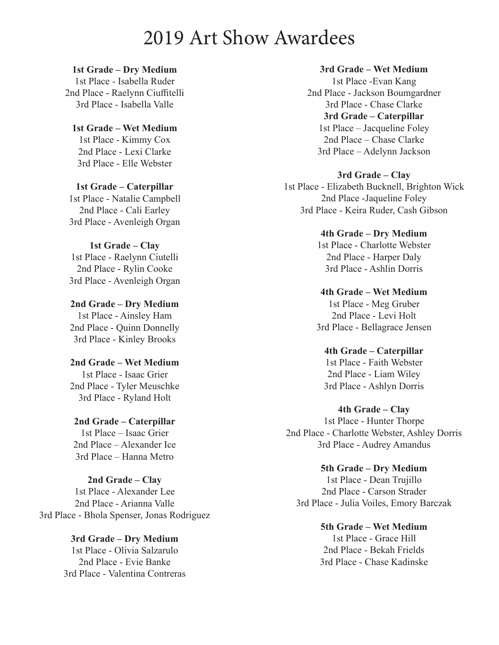## 2019 Art Show Awardees

**1st Grade – Dry Medium** 1st Place - Isabella Ruder 2nd Place - Raelynn Ciuffitelli 3rd Place - Isabella Valle

**1st Grade – Wet Medium** 1st Place - Kimmy Cox 2nd Place - Lexi Clarke 3rd Place - Elle Webster

**1st Grade – Caterpillar** 1st Place - Natalie Campbell 2nd Place - Cali Earley 3rd Place - Avenleigh Organ

**1st Grade – Clay** 1st Place - Raelynn Ciutelli 2nd Place - Rylin Cooke 3rd Place - Avenleigh Organ

**2nd Grade – Dry Medium** 1st Place - Ainsley Ham 2nd Place - Quinn Donnelly 3rd Place - Kinley Brooks

**2nd Grade – Wet Medium** 1st Place - Isaac Grier 2nd Place - Tyler Meuschke 3rd Place - Ryland Holt

**2nd Grade – Caterpillar** 1st Place – Isaac Grier 2nd Place – Alexander Ice 3rd Place – Hanna Metro

**2nd Grade – Clay** 1st Place - Alexander Lee 2nd Place - Arianna Valle 3rd Place - Bhola Spenser, Jonas Rodriguez

> **3rd Grade – Dry Medium** 1st Place - Olivia Salzarulo 2nd Place - Evie Banke 3rd Place - Valentina Contreras

**3rd Grade – Wet Medium**

1st Place -Evan Kang 2nd Place - Jackson Boumgardner 3rd Place - Chase Clarke **3rd Grade – Caterpillar** 1st Place – Jacqueline Foley 2nd Place – Chase Clarke 3rd Place – Adelynn Jackson

**3rd Grade – Clay**

1st Place - Elizabeth Bucknell, Brighton Wick 2nd Place -Jaqueline Foley 3rd Place - Keira Ruder, Cash Gibson

> **4th Grade – Dry Medium** 1st Place - Charlotte Webster 2nd Place - Harper Daly 3rd Place - Ashlin Dorris

**4th Grade – Wet Medium** 1st Place - Meg Gruber 2nd Place - Levi Holt 3rd Place - Bellagrace Jensen

**4th Grade – Caterpillar** 1st Place - Faith Webster 2nd Place - Liam Wiley 3rd Place - Ashlyn Dorris

**4th Grade – Clay** 1st Place - Hunter Thorpe 2nd Place - Charlotte Webster, Ashley Dorris 3rd Place - Audrey Amandus

**5th Grade – Dry Medium** 1st Place - Dean Trujillo 2nd Place - Carson Strader 3rd Place - Julia Voiles, Emory Barczak

> **5th Grade – Wet Medium** 1st Place - Grace Hill 2nd Place - Bekah Frields 3rd Place - Chase Kadinske